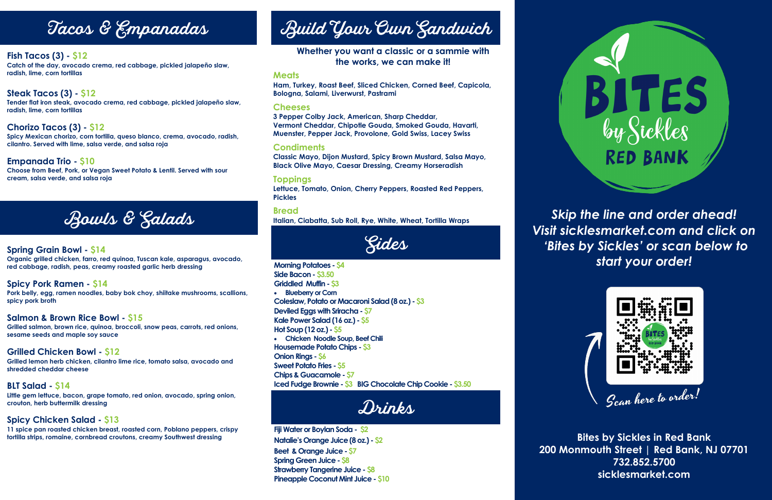# Tacos & Empanadas

### **Fish Tacos (3) - \$12**

**Catch of the day, avocado crema, red cabbage, pickled jalapeño slaw, radish, lime, corn tortillas**

## **Steak Tacos (3) - \$12**

**Tender flat iron steak, avocado crema, red cabbage, pickled jalapeño slaw, radish, lime, corn tortillas**

### **Chorizo Tacos (3) - \$12**

**Spicy Mexican chorizo, corn tortilla, queso blanco, crema, avocado, radish, cilantro. Served with lime, salsa verde, and salsa roja** 

### **Empanada Trio - \$10**

**Choose from Beef, Pork, or Vegan Sweet Potato & Lentil. Served with sour cream, salsa verde, and salsa roja**

# Bowls & Salads

**Bites by Sickles in Red Bank 200 Monmouth Street | Red Bank, NJ 07701 732.852.5700 sicklesmarket.com**

*Skip the line and order ahead! Visit sicklesmarket.com and click on 'Bites by Sickles' or scan below to start your order!*



### **Spring Grain Bowl - \$14**

**Organic grilled chicken, farro, red quinoa, Tuscan kale, asparagus, avocado, red cabbage, radish, peas, creamy roasted garlic herb dressing**

### **Spicy Pork Ramen - \$14**

**Pork belly, egg, ramen noodles, baby bok choy, shiitake mushrooms, scallions, spicy pork broth**

### **Salmon & Brown Rice Bowl - \$15**

**Grilled salmon, brown rice, quinoa, broccoli, snow peas, carrots, red onions, sesame seeds and maple soy sauce** 

### **Grilled Chicken Bowl - \$12**

**Grilled lemon herb chicken, cilantro lime rice, tomato salsa, avocado and shredded cheddar cheese** 

### **BLT Salad - \$14**

**Little gem lettuce, bacon, grape tomato, red onion, avocado, spring onion, crouton, herb buttermilk dressing**

### **Spicy Chicken Salad - \$13**

**11 spice pan roasted chicken breast, roasted corn, Poblano peppers, crispy tortilla strips, romaine, cornbread croutons, creamy Southwest dressing**

# Build Your Own Sandwich

**Morning Potatoes - \$4 Side Bacon - \$3.50 Griddled Muffin - \$3 Blueberry or Corn Coleslaw, Potato or Macaroni Salad (8 oz.) - \$3 Deviled Eggs with Sriracha - \$7 Kale Power Salad (16 oz.) - \$5 Hot Soup (12 oz.) - \$5 Chicken Noodle Soup, Beef Chili Housemade Potato Chips - \$3 Onion Rings - \$6 Sweet Potato Fries - \$5 Chips & Guacamole - \$7 Iced Fudge Brownie - \$3 BIG Chocolate Chip Cookie - \$3.50**

Drinks

### **Meats**

**Ham, Turkey, Roast Beef, Sliced Chicken, Corned Beef, Capicola, Bologna, Salami, Liverwurst, Pastrami**

### **Cheeses**

**3 Pepper Colby Jack, American, Sharp Cheddar, Vermont Cheddar, Chipotle Gouda, Smoked Gouda, Havarti, Muenster, Pepper Jack, Provolone, Gold Swiss, Lacey Swiss**

### **Condiments**

**Classic Mayo, Dijon Mustard, Spicy Brown Mustard, Salsa Mayo, Black Olive Mayo, Caesar Dressing, Creamy Horseradish** 

### **Toppings**

**Lettuce, Tomato, Onion, Cherry Peppers, Roasted Red Peppers, Pickles**

### **Bread**

**Italian, Ciabatta, Sub Roll, Rye, White, Wheat, Tortilla Wraps**

Sides

**Fiji Water or Boylan Soda - \$2 Natalie's Orange Juice (8 oz.) - \$2 Beet & Orange Juice - \$7 Spring Green Juice - \$8 Strawberry Tangerine Juice - \$8 Pineapple Coconut Mint Juice - \$10**







### **Whether you want a classic or a sammie with the works, we can make it!**